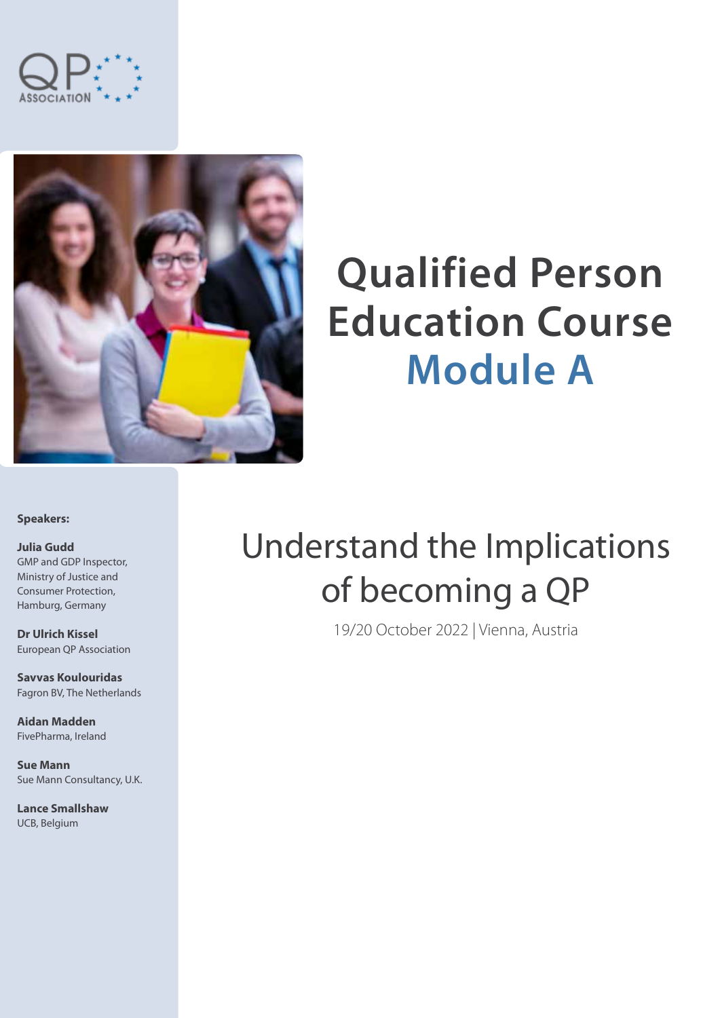



# **Qualified Person Education Course Module A**

**Speakers:**

## **Julia Gudd** GMP and GDP Inspector,

Ministry of Justice and Consumer Protection, Hamburg, Germany

**Dr Ulrich Kissel** European QP Association

**Savvas Koulouridas** Fagron BV, The Netherlands

**Aidan Madden** FivePharma, Ireland

**Sue Mann** Sue Mann Consultancy, U.K.

**Lance Smallshaw** UCB, Belgium

# Understand the Implications of becoming a QP

19/20 October 2022 | Vienna, Austria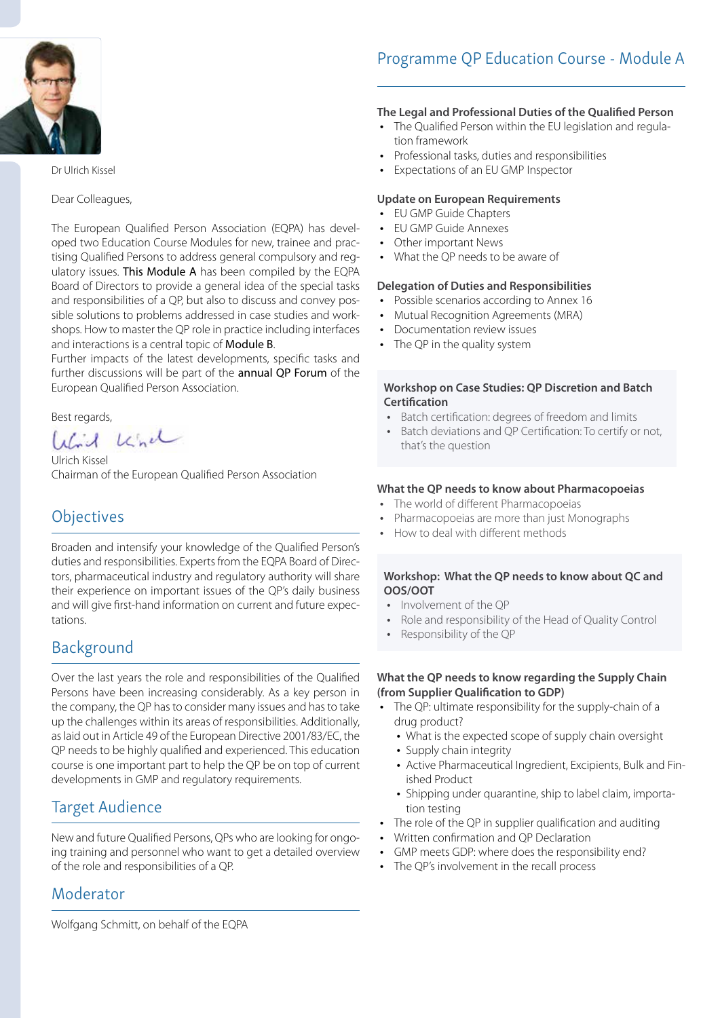

Dr Ulrich Kissel

#### Dear Colleagues,

The European Qualified Person Association (EQPA) has developed two Education Course Modules for new, trainee and practising Qualified Persons to address general compulsory and regulatory issues. This Module A has been compiled by the EQPA Board of Directors to provide a general idea of the special tasks and responsibilities of a QP, but also to discuss and convey possible solutions to problems addressed in case studies and workshops. How to master the QP role in practice including interfaces and interactions is a central topic of Module B.

Further impacts of the latest developments, specific tasks and further discussions will be part of the **annual QP Forum** of the European Qualified Person Association.

Best regards,

Wird Kind

Ulrich Kissel Chairman of the European Qualified Person Association

# **Objectives**

Broaden and intensify your knowledge of the Qualified Person's duties and responsibilities. Experts from the EQPA Board of Directors, pharmaceutical industry and regulatory authority will share their experience on important issues of the QP's daily business and will give first-hand information on current and future expectations.

# Background

Over the last years the role and responsibilities of the Qualified Persons have been increasing considerably. As a key person in the company, the QP has to consider many issues and has to take up the challenges within its areas of responsibilities. Additionally, as laid out in Article 49 of the European Directive 2001/83/EC, the QP needs to be highly qualified and experienced. This education course is one important part to help the QP be on top of current developments in GMP and regulatory requirements.

# Target Audience

New and future Qualified Persons, QPs who are looking for ongoing training and personnel who want to get a detailed overview of the role and responsibilities of a QP.

# Moderator

Wolfgang Schmitt, on behalf of the EQPA

# **The Legal and Professional Duties of the Qualified Person**

- The Qualified Person within the EU legislation and regulation framework
- Professional tasks, duties and responsibilities
- Expectations of an EU GMP Inspector

## **Update on European Requirements**

- EU GMP Guide Chapters
- y EU GMP Guide Annexes
- Other important News
- What the QP needs to be aware of

## **Delegation of Duties and Responsibilities**

- Possible scenarios according to Annex 16
- Mutual Recognition Agreements (MRA)
- Documentation review issues
- The QP in the quality system

## **Workshop on Case Studies: QP Discretion and Batch Certification**

- Batch certification: degrees of freedom and limits
- Batch deviations and QP Certification: To certify or not, that's the question

## **What the QP needs to know about Pharmacopoeias**

- The world of different Pharmacopoeias
- Pharmacopoeias are more than just Monographs
- How to deal with different methods

## **Workshop: What the QP needs to know about QC and OOS/OOT**

- $\cdot$  Involvement of the OP
- Role and responsibility of the Head of Quality Control
- Responsibility of the QP

### **What the QP needs to know regarding the Supply Chain (from Supplier Qualification to GDP)**

- The QP: ultimate responsibility for the supply-chain of a drug product?
	- What is the expected scope of supply chain oversight
	- Supply chain integrity
	- Active Pharmaceutical Ingredient, Excipients, Bulk and Finished Product
	- Shipping under quarantine, ship to label claim, importation testing
- The role of the QP in supplier qualification and auditing
- Written confirmation and OP Declaration
- GMP meets GDP: where does the responsibility end?
- The QP's involvement in the recall process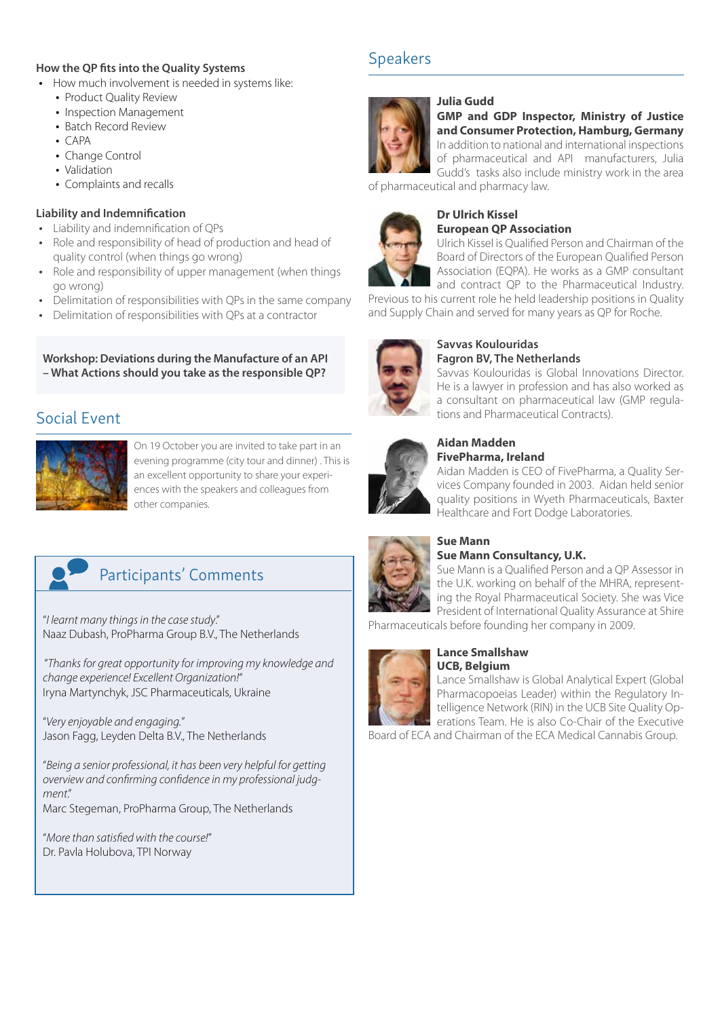# **How the QP fits into the Quality Systems**

- How much involvement is needed in systems like:
	- Product Quality Review
	- Inspection Management
	- Batch Record Review
	- $\cdot$  CAPA
	- Change Control
	- Validation
	- Complaints and recalls

# **Liability and Indemnification**

- Liability and indemnification of QPs
- Role and responsibility of head of production and head of quality control (when things go wrong)
- Role and responsibility of upper management (when things go wrong)
- Delimitation of responsibilities with QPs in the same company
- Delimitation of responsibilities with QPs at a contractor

# **Workshop: Deviations during the Manufacture of an API – What Actions should you take as the responsible QP?**

# Social Event



On 19 October you are invited to take part in an evening programme (city tour and dinner) . This is an excellent opportunity to share your experiences with the speakers and colleagues from other companies.

# Participants' Comments

"*I learnt many things in the case study*." Naaz Dubash, ProPharma Group B.V., The Netherlands

 "*Thanks for great opportunity for improving my knowledge and change experience! Excellent Organization!*" Iryna Martynchyk, JSC Pharmaceuticals, Ukraine

"*Very enjoyable and engaging.*" Jason Fagg, Leyden Delta B.V., The Netherlands

"*Being a senior professional, it has been very helpful for getting overview and confirming confidence in my professional judgment*." Marc Stegeman, ProPharma Group, The Netherlands

"*More than satisfied with the course!*" Dr. Pavla Holubova, TPI Norway

# Speakers



# **Julia Gudd**

**GMP and GDP Inspector, Ministry of Justice and Consumer Protection, Hamburg, Germany**

In addition to national and international inspections of pharmaceutical and API manufacturers, Julia Gudd's tasks also include ministry work in the area

of pharmaceutical and pharmacy law.



#### **Dr Ulrich Kissel European QP Association**

Ulrich Kissel is Qualified Person and Chairman of the Board of Directors of the European Qualified Person Association (EQPA). He works as a GMP consultant

and contract QP to the Pharmaceutical Industry. Previous to his current role he held leadership positions in Quality and Supply Chain and served for many years as QP for Roche.



## **Savvas Koulouridas Fagron BV, The Netherlands**

Savvas Koulouridas is Global Innovations Director. He is a lawyer in profession and has also worked as a consultant on pharmaceutical law (GMP regulations and Pharmaceutical Contracts).



### **Aidan Madden FivePharma, Ireland**

Aidan Madden is CEO of FivePharma, a Quality Services Company founded in 2003. Aidan held senior quality positions in Wyeth Pharmaceuticals, Baxter Healthcare and Fort Dodge Laboratories.



#### **Sue Mann Sue Mann Consultancy, U.K.**

Sue Mann is a Qualified Person and a QP Assessor in the U.K. working on behalf of the MHRA, representing the Royal Pharmaceutical Society. She was Vice President of International Quality Assurance at Shire

Pharmaceuticals before founding her company in 2009.



## **Lance Smallshaw UCB, Belgium**

Lance Smallshaw is Global Analytical Expert (Global Pharmacopoeias Leader) within the Regulatory Intelligence Network (RIN) in the UCB Site Quality Operations Team. He is also Co-Chair of the Executive

Board of ECA and Chairman of the ECA Medical Cannabis Group.